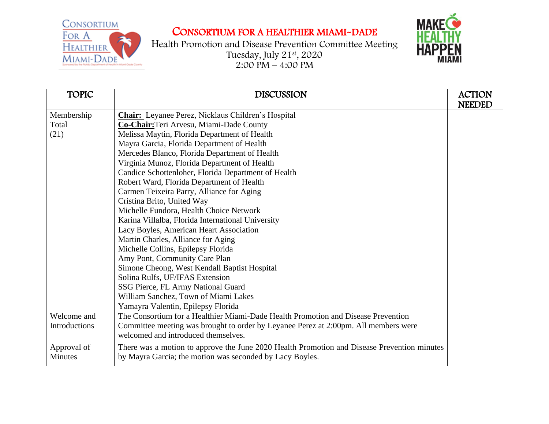CONSORTIUM FOR A HEALTHIER MIAMI-DADE



Health Promotion and Disease Prevention Committee Meeting Tuesday, July 21st , 2020  $2:00 \text{ PM} - 4:00 \text{ PM}$ 



| <b>TOPIC</b>         | <b>DISCUSSION</b>                                                                           | <b>ACTION</b> |
|----------------------|---------------------------------------------------------------------------------------------|---------------|
|                      |                                                                                             | <b>NEEDED</b> |
| Membership           | <b>Chair:</b> Leyanee Perez, Nicklaus Children's Hospital                                   |               |
| Total                | Co-Chair: Teri Arvesu, Miami-Dade County                                                    |               |
| (21)                 | Melissa Maytin, Florida Department of Health                                                |               |
|                      | Mayra Garcia, Florida Department of Health                                                  |               |
|                      | Mercedes Blanco, Florida Department of Health                                               |               |
|                      | Virginia Munoz, Florida Department of Health                                                |               |
|                      | Candice Schottenloher, Florida Department of Health                                         |               |
|                      | Robert Ward, Florida Department of Health                                                   |               |
|                      | Carmen Teixeira Parry, Alliance for Aging                                                   |               |
|                      | Cristina Brito, United Way                                                                  |               |
|                      | Michelle Fundora, Health Choice Network                                                     |               |
|                      | Karina Villalba, Florida International University                                           |               |
|                      | Lacy Boyles, American Heart Association                                                     |               |
|                      | Martin Charles, Alliance for Aging                                                          |               |
|                      | Michelle Collins, Epilepsy Florida                                                          |               |
|                      | Amy Pont, Community Care Plan                                                               |               |
|                      | Simone Cheong, West Kendall Baptist Hospital                                                |               |
|                      | Solina Rulfs, UF/IFAS Extension                                                             |               |
|                      | SSG Pierce, FL Army National Guard                                                          |               |
|                      | William Sanchez, Town of Miami Lakes                                                        |               |
|                      | Yamayra Valentin, Epilepsy Florida                                                          |               |
| Welcome and          | The Consortium for a Healthier Miami-Dade Health Promotion and Disease Prevention           |               |
| <b>Introductions</b> | Committee meeting was brought to order by Leyanee Perez at 2:00pm. All members were         |               |
|                      | welcomed and introduced themselves.                                                         |               |
| Approval of          | There was a motion to approve the June 2020 Health Promotion and Disease Prevention minutes |               |
| <b>Minutes</b>       | by Mayra Garcia; the motion was seconded by Lacy Boyles.                                    |               |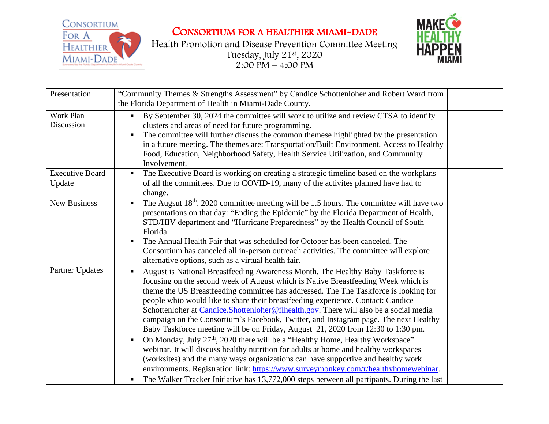

CONSORTIUM FOR A HEALTHIER MIAMI-DADE

Health Promotion and Disease Prevention Committee Meeting Tuesday, July 21st , 2020  $2:00 \text{ P}M - 4:00 \text{ P}M$ 



| Presentation                     | "Community Themes & Strengths Assessment" by Candice Schottenloher and Robert Ward from<br>the Florida Department of Health in Miami-Dade County.                                                                                                                                                                                                                                                                                                                                                                                                                                                                                                                                                                                                                                                                                                                                                                                                                                                                                                                                                          |  |
|----------------------------------|------------------------------------------------------------------------------------------------------------------------------------------------------------------------------------------------------------------------------------------------------------------------------------------------------------------------------------------------------------------------------------------------------------------------------------------------------------------------------------------------------------------------------------------------------------------------------------------------------------------------------------------------------------------------------------------------------------------------------------------------------------------------------------------------------------------------------------------------------------------------------------------------------------------------------------------------------------------------------------------------------------------------------------------------------------------------------------------------------------|--|
| Work Plan<br>Discussion          | By September 30, 2024 the committee will work to utilize and review CTSA to identify<br>π.<br>clusters and areas of need for future programming.<br>The committee will further discuss the common themese highlighted by the presentation<br>in a future meeting. The themes are: Transportation/Built Environment, Access to Healthy<br>Food, Education, Neighborhood Safety, Health Service Utilization, and Community<br>Involvement.                                                                                                                                                                                                                                                                                                                                                                                                                                                                                                                                                                                                                                                                   |  |
| <b>Executive Board</b><br>Update | The Executive Board is working on creating a strategic timeline based on the workplans<br>$\blacksquare$<br>of all the committees. Due to COVID-19, many of the activites planned have had to<br>change.                                                                                                                                                                                                                                                                                                                                                                                                                                                                                                                                                                                                                                                                                                                                                                                                                                                                                                   |  |
| <b>New Business</b>              | The Augsut 18 <sup>th</sup> , 2020 committee meeting will be 1.5 hours. The committee will have two<br>٠.<br>presentations on that day: "Ending the Epidemic" by the Florida Department of Health,<br>STD/HIV department and "Hurricane Preparedness" by the Health Council of South<br>Florida.<br>The Annual Health Fair that was scheduled for October has been canceled. The<br>Consortium has canceled all in-person outreach activities. The committee will explore<br>alternative options, such as a virtual health fair.                                                                                                                                                                                                                                                                                                                                                                                                                                                                                                                                                                           |  |
| Partner Updates                  | August is National Breastfeeding Awareness Month. The Healthy Baby Taskforce is<br>$\blacksquare$<br>focusing on the second week of August which is Native Breastfeeding Week which is<br>theme the US Breastfeeding committee has addressed. The The Taskforce is looking for<br>people whio would like to share their breastfeeding experience. Contact: Candice<br>Schottenloher at Candice.Shottenloher@flhealth.gov. There will also be a social media<br>campaign on the Consortium's Facebook, Twitter, and Instagram page. The next Healthy<br>Baby Taskforce meeting will be on Friday, August 21, 2020 from 12:30 to 1:30 pm.<br>On Monday, July 27 <sup>th</sup> , 2020 there will be a "Healthy Home, Healthy Workspace"<br>٠<br>webinar. It will discuss healthy nutrition for adults at home and healthy workspaces<br>(worksites) and the many ways organizations can have supportive and healthy work<br>environments. Registration link: https://www.surveymonkey.com/r/healthyhomewebinar.<br>The Walker Tracker Initiative has 13,772,000 steps between all partipants. During the last |  |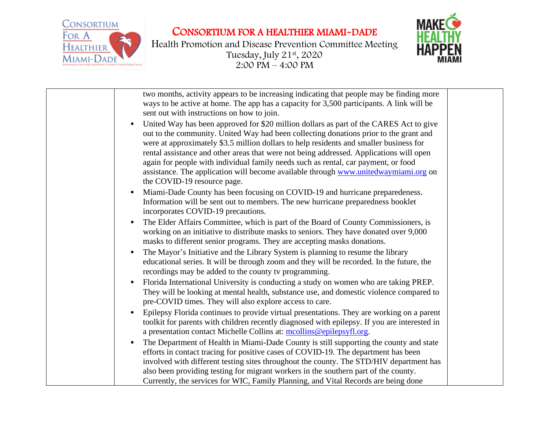CONSORTIUM FOR A HEALTHIER MIAMI-DADE



Health Promotion and Disease Prevention Committee Meeting Tuesday, July 21st , 2020 2:00 PM – 4:00 PM



| two months, activity appears to be increasing indicating that people may be finding more<br>ways to be active at home. The app has a capacity for 3,500 participants. A link will be<br>sent out with instructions on how to join.                                                                                                                                                                                                                                                                                                                                                    |  |
|---------------------------------------------------------------------------------------------------------------------------------------------------------------------------------------------------------------------------------------------------------------------------------------------------------------------------------------------------------------------------------------------------------------------------------------------------------------------------------------------------------------------------------------------------------------------------------------|--|
| United Way has been approved for \$20 million dollars as part of the CARES Act to give<br>٠<br>out to the community. United Way had been collecting donations prior to the grant and<br>were at approximately \$3.5 million dollars to help residents and smaller business for<br>rental assistance and other areas that were not being addressed. Applications will open<br>again for people with individual family needs such as rental, car payment, or food<br>assistance. The application will become available through www.unitedwaymiami.org on<br>the COVID-19 resource page. |  |
| Miami-Dade County has been focusing on COVID-19 and hurricane preparedeness.<br>$\blacksquare$<br>Information will be sent out to members. The new hurricane preparedness booklet<br>incorporates COVID-19 precautions.                                                                                                                                                                                                                                                                                                                                                               |  |
| The Elder Affairs Committee, which is part of the Board of County Commissioners, is<br>п<br>working on an initiative to distribute masks to seniors. They have donated over 9,000<br>masks to different senior programs. They are accepting masks donations.                                                                                                                                                                                                                                                                                                                          |  |
| The Mayor's Initiative and the Library System is planning to resume the library<br>٠<br>educational series. It will be through zoom and they will be recorded. In the future, the<br>recordings may be added to the county tv programming.                                                                                                                                                                                                                                                                                                                                            |  |
| Florida International University is conducting a study on women who are taking PREP.<br>п<br>They will be looking at mental health, substance use, and domestic violence compared to<br>pre-COVID times. They will also explore access to care.                                                                                                                                                                                                                                                                                                                                       |  |
| Epilepsy Florida continues to provide virtual presentations. They are working on a parent<br>٠<br>toolkit for parents with children recently diagnosed with epilepsy. If you are interested in<br>a presentation contact Michelle Collins at: mcollins@epilepsyfl.org.                                                                                                                                                                                                                                                                                                                |  |
| The Department of Health in Miami-Dade County is still supporting the county and state<br>٠<br>efforts in contact tracing for positive cases of COVID-19. The department has been<br>involved with different testing sites throughout the county. The STD/HIV department has<br>also been providing testing for migrant workers in the southern part of the county.<br>Currently, the services for WIC, Family Planning, and Vital Records are being done                                                                                                                             |  |